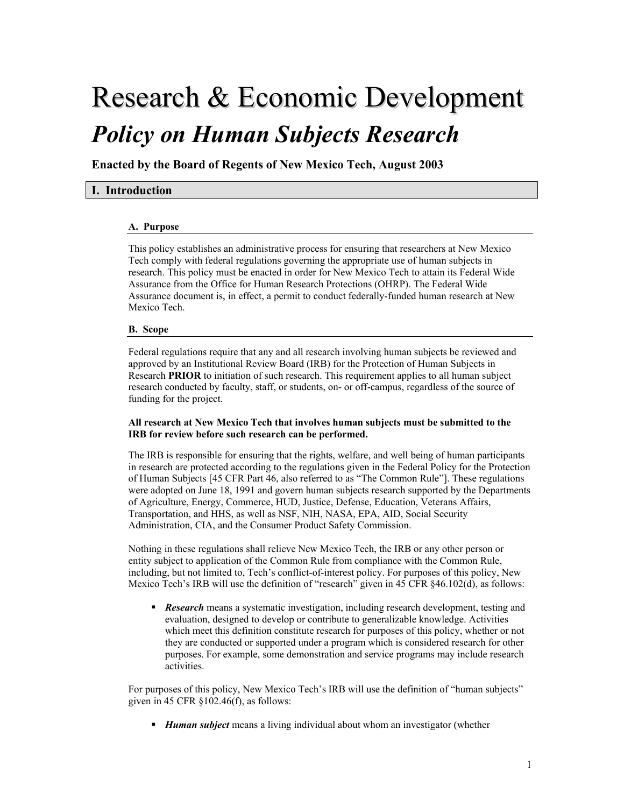# Research & Economic Development *Policy on Human Subjects Research*

**Enacted by the Board of Regents of New Mexico Tech, August 2003**

# **I. Introduction**

# **A. Purpose**

This policy establishes an administrative process for ensuring that researchers at New Mexico Tech comply with federal regulations governing the appropriate use of human subjects in research. This policy must be enacted in order for New Mexico Tech to attain its Federal Wide Assurance from the Office for Human Research Protections (OHRP). The Federal Wide Assurance document is, in effect, a permit to conduct federally-funded human research at New Mexico Tech.

# **B. Scope**

Federal regulations require that any and all research involving human subjects be reviewed and approved by an Institutional Review Board (IRB) for the Protection of Human Subjects in Research **PRIOR** to initiation of such research. This requirement applies to all human subject research conducted by faculty, staff, or students, on- or off-campus, regardless of the source of funding for the project.

## **All research at New Mexico Tech that involves human subjects must be submitted to the IRB for review before such research can be performed.**

The IRB is responsible for ensuring that the rights, welfare, and well being of human participants in research are protected according to the regulations given in the Federal Policy for the Protection of Human Subjects [45 CFR Part 46, also referred to as "The Common Rule"]. These regulations were adopted on June 18, 1991 and govern human subjects research supported by the Departments of Agriculture, Energy, Commerce, HUD, Justice, Defense, Education, Veterans Affairs, Transportation, and HHS, as well as NSF, NIH, NASA, EPA, AID, Social Security Administration, CIA, and the Consumer Product Safety Commission.

Nothing in these regulations shall relieve New Mexico Tech, the IRB or any other person or entity subject to application of the Common Rule from compliance with the Common Rule, including, but not limited to, Tech's conflict-of-interest policy. For purposes of this policy, New Mexico Tech's IRB will use the definition of "research" given in 45 CFR §46.102(d), as follows:

**Research** means a systematic investigation, including research development, testing and evaluation, designed to develop or contribute to generalizable knowledge. Activities which meet this definition constitute research for purposes of this policy, whether or not they are conducted or supported under a program which is considered research for other purposes. For example, some demonstration and service programs may include research activities.

For purposes of this policy, New Mexico Tech's IRB will use the definition of "human subjects" given in 45 CFR §102.46(f), as follows:

*Human subject* means a living individual about whom an investigator (whether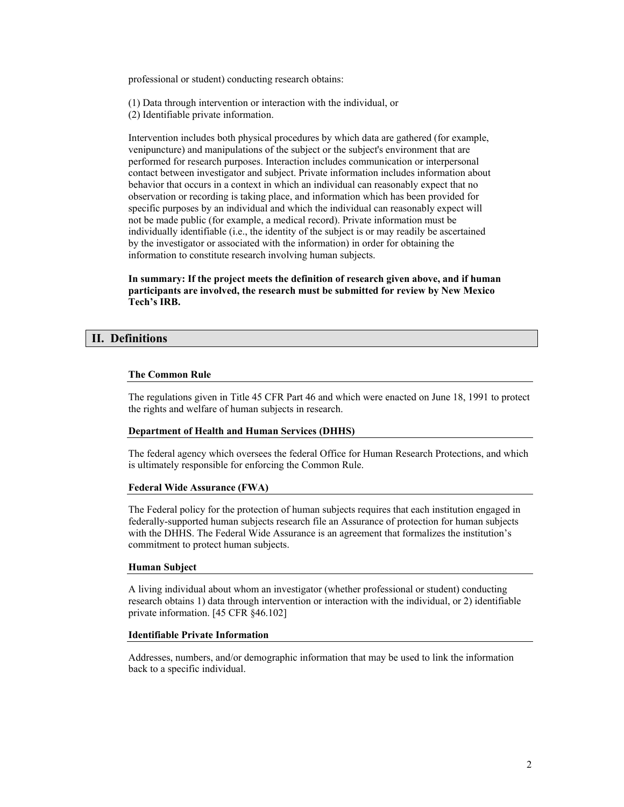professional or student) conducting research obtains:

- (1) Data through intervention or interaction with the individual, or
- (2) Identifiable private information.

Intervention includes both physical procedures by which data are gathered (for example, venipuncture) and manipulations of the subject or the subject's environment that are performed for research purposes. Interaction includes communication or interpersonal contact between investigator and subject. Private information includes information about behavior that occurs in a context in which an individual can reasonably expect that no observation or recording is taking place, and information which has been provided for specific purposes by an individual and which the individual can reasonably expect will not be made public (for example, a medical record). Private information must be individually identifiable (i.e., the identity of the subject is or may readily be ascertained by the investigator or associated with the information) in order for obtaining the information to constitute research involving human subjects.

**In summary: If the project meets the definition of research given above, and if human participants are involved, the research must be submitted for review by New Mexico Tech's IRB.** 

# **II. Definitions**

#### **The Common Rule**

The regulations given in Title 45 CFR Part 46 and which were enacted on June 18, 1991 to protect the rights and welfare of human subjects in research.

## **Department of Health and Human Services (DHHS)**

The federal agency which oversees the federal Office for Human Research Protections, and which is ultimately responsible for enforcing the Common Rule.

#### **Federal Wide Assurance (FWA)**

The Federal policy for the protection of human subjects requires that each institution engaged in federally-supported human subjects research file an Assurance of protection for human subjects with the DHHS. The Federal Wide Assurance is an agreement that formalizes the institution's commitment to protect human subjects.

#### **Human Subject**

A living individual about whom an investigator (whether professional or student) conducting research obtains 1) data through intervention or interaction with the individual, or 2) identifiable private information. [45 CFR §46.102]

#### **Identifiable Private Information**

Addresses, numbers, and/or demographic information that may be used to link the information back to a specific individual.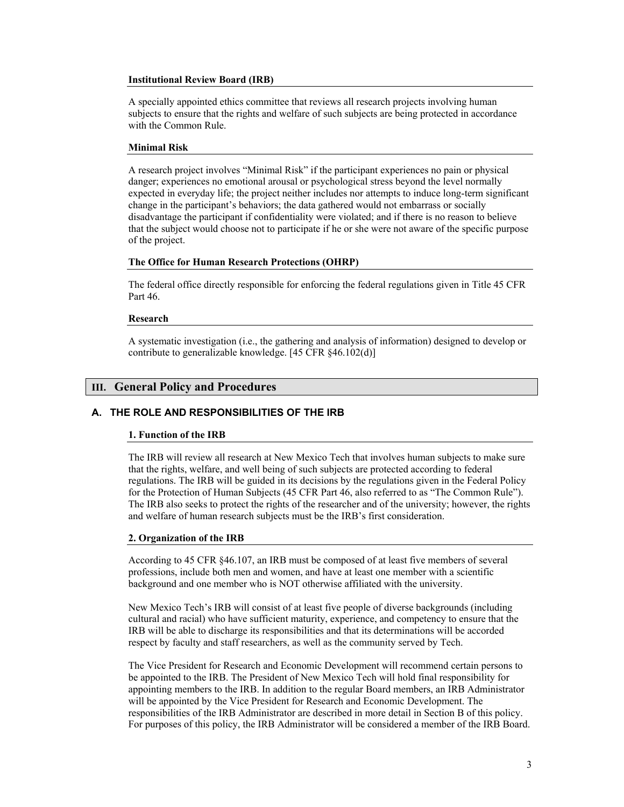## **Institutional Review Board (IRB)**

A specially appointed ethics committee that reviews all research projects involving human subjects to ensure that the rights and welfare of such subjects are being protected in accordance with the Common Rule.

#### **Minimal Risk**

A research project involves "Minimal Risk" if the participant experiences no pain or physical danger; experiences no emotional arousal or psychological stress beyond the level normally expected in everyday life; the project neither includes nor attempts to induce long-term significant change in the participant's behaviors; the data gathered would not embarrass or socially disadvantage the participant if confidentiality were violated; and if there is no reason to believe that the subject would choose not to participate if he or she were not aware of the specific purpose of the project.

## **The Office for Human Research Protections (OHRP)**

The federal office directly responsible for enforcing the federal regulations given in Title 45 CFR Part 46.

## **Research**

A systematic investigation (i.e., the gathering and analysis of information) designed to develop or contribute to generalizable knowledge. [45 CFR §46.102(d)]

## **III. General Policy and Procedures**

## **A. THE ROLE AND RESPONSIBILITIES OF THE IRB**

## **1. Function of the IRB**

The IRB will review all research at New Mexico Tech that involves human subjects to make sure that the rights, welfare, and well being of such subjects are protected according to federal regulations. The IRB will be guided in its decisions by the regulations given in the Federal Policy for the Protection of Human Subjects (45 CFR Part 46, also referred to as "The Common Rule"). The IRB also seeks to protect the rights of the researcher and of the university; however, the rights and welfare of human research subjects must be the IRB's first consideration.

#### **2. Organization of the IRB**

According to 45 CFR §46.107, an IRB must be composed of at least five members of several professions, include both men and women, and have at least one member with a scientific background and one member who is NOT otherwise affiliated with the university.

New Mexico Tech's IRB will consist of at least five people of diverse backgrounds (including cultural and racial) who have sufficient maturity, experience, and competency to ensure that the IRB will be able to discharge its responsibilities and that its determinations will be accorded respect by faculty and staff researchers, as well as the community served by Tech.

The Vice President for Research and Economic Development will recommend certain persons to be appointed to the IRB. The President of New Mexico Tech will hold final responsibility for appointing members to the IRB. In addition to the regular Board members, an IRB Administrator will be appointed by the Vice President for Research and Economic Development. The responsibilities of the IRB Administrator are described in more detail in Section B of this policy. For purposes of this policy, the IRB Administrator will be considered a member of the IRB Board.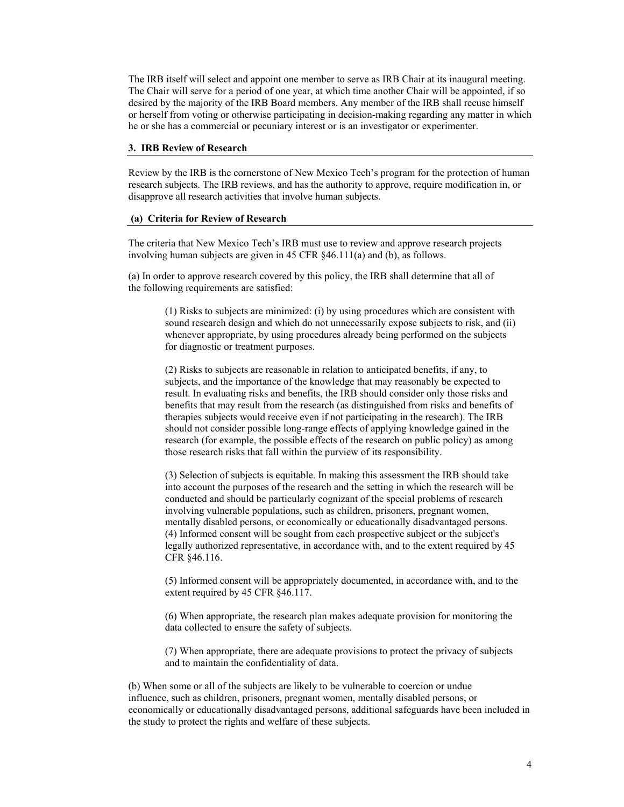The IRB itself will select and appoint one member to serve as IRB Chair at its inaugural meeting. The Chair will serve for a period of one year, at which time another Chair will be appointed, if so desired by the majority of the IRB Board members. Any member of the IRB shall recuse himself or herself from voting or otherwise participating in decision-making regarding any matter in which he or she has a commercial or pecuniary interest or is an investigator or experimenter.

#### **3. IRB Review of Research**

Review by the IRB is the cornerstone of New Mexico Tech's program for the protection of human research subjects. The IRB reviews, and has the authority to approve, require modification in, or disapprove all research activities that involve human subjects.

#### **(a) Criteria for Review of Research**

The criteria that New Mexico Tech's IRB must use to review and approve research projects involving human subjects are given in 45 CFR §46.111(a) and (b), as follows.

(a) In order to approve research covered by this policy, the IRB shall determine that all of the following requirements are satisfied:

> (1) Risks to subjects are minimized: (i) by using procedures which are consistent with sound research design and which do not unnecessarily expose subjects to risk, and (ii) whenever appropriate, by using procedures already being performed on the subjects for diagnostic or treatment purposes.

> (2) Risks to subjects are reasonable in relation to anticipated benefits, if any, to subjects, and the importance of the knowledge that may reasonably be expected to result. In evaluating risks and benefits, the IRB should consider only those risks and benefits that may result from the research (as distinguished from risks and benefits of therapies subjects would receive even if not participating in the research). The IRB should not consider possible long-range effects of applying knowledge gained in the research (for example, the possible effects of the research on public policy) as among those research risks that fall within the purview of its responsibility.

> (3) Selection of subjects is equitable. In making this assessment the IRB should take into account the purposes of the research and the setting in which the research will be conducted and should be particularly cognizant of the special problems of research involving vulnerable populations, such as children, prisoners, pregnant women, mentally disabled persons, or economically or educationally disadvantaged persons. (4) Informed consent will be sought from each prospective subject or the subject's legally authorized representative, in accordance with, and to the extent required by 45 CFR §46.116.

 (5) Informed consent will be appropriately documented, in accordance with, and to the extent required by 45 CFR §46.117.

(6) When appropriate, the research plan makes adequate provision for monitoring the data collected to ensure the safety of subjects.

(7) When appropriate, there are adequate provisions to protect the privacy of subjects and to maintain the confidentiality of data.

(b) When some or all of the subjects are likely to be vulnerable to coercion or undue influence, such as children, prisoners, pregnant women, mentally disabled persons, or economically or educationally disadvantaged persons, additional safeguards have been included in the study to protect the rights and welfare of these subjects.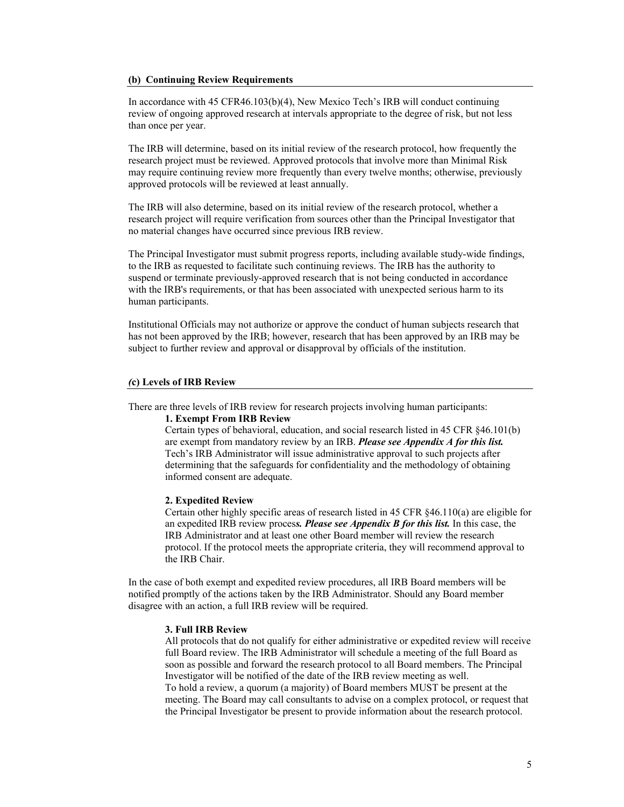#### **(b) Continuing Review Requirements**

In accordance with 45 CFR46.103(b)(4), New Mexico Tech's IRB will conduct continuing review of ongoing approved research at intervals appropriate to the degree of risk, but not less than once per year.

The IRB will determine, based on its initial review of the research protocol, how frequently the research project must be reviewed. Approved protocols that involve more than Minimal Risk may require continuing review more frequently than every twelve months; otherwise, previously approved protocols will be reviewed at least annually.

The IRB will also determine, based on its initial review of the research protocol, whether a research project will require verification from sources other than the Principal Investigator that no material changes have occurred since previous IRB review.

The Principal Investigator must submit progress reports, including available study-wide findings, to the IRB as requested to facilitate such continuing reviews. The IRB has the authority to suspend or terminate previously-approved research that is not being conducted in accordance with the IRB's requirements, or that has been associated with unexpected serious harm to its human participants.

Institutional Officials may not authorize or approve the conduct of human subjects research that has not been approved by the IRB; however, research that has been approved by an IRB may be subject to further review and approval or disapproval by officials of the institution.

#### *(***c) Levels of IRB Review**

There are three levels of IRB review for research projects involving human participants:

## **1. Exempt From IRB Review**

Certain types of behavioral, education, and social research listed in 45 CFR §46.101(b) are exempt from mandatory review by an IRB. *Please see Appendix A for this list.* Tech's IRB Administrator will issue administrative approval to such projects after determining that the safeguards for confidentiality and the methodology of obtaining informed consent are adequate.

#### **2. Expedited Review**

Certain other highly specific areas of research listed in 45 CFR §46.110(a) are eligible for an expedited IRB review proces*s. Please see Appendix B for this list.* In this case, the IRB Administrator and at least one other Board member will review the research protocol. If the protocol meets the appropriate criteria, they will recommend approval to the IRB Chair.

In the case of both exempt and expedited review procedures, all IRB Board members will be notified promptly of the actions taken by the IRB Administrator. Should any Board member disagree with an action, a full IRB review will be required.

#### **3. Full IRB Review**

All protocols that do not qualify for either administrative or expedited review will receive full Board review. The IRB Administrator will schedule a meeting of the full Board as soon as possible and forward the research protocol to all Board members. The Principal Investigator will be notified of the date of the IRB review meeting as well. To hold a review, a quorum (a majority) of Board members MUST be present at the meeting. The Board may call consultants to advise on a complex protocol, or request that the Principal Investigator be present to provide information about the research protocol.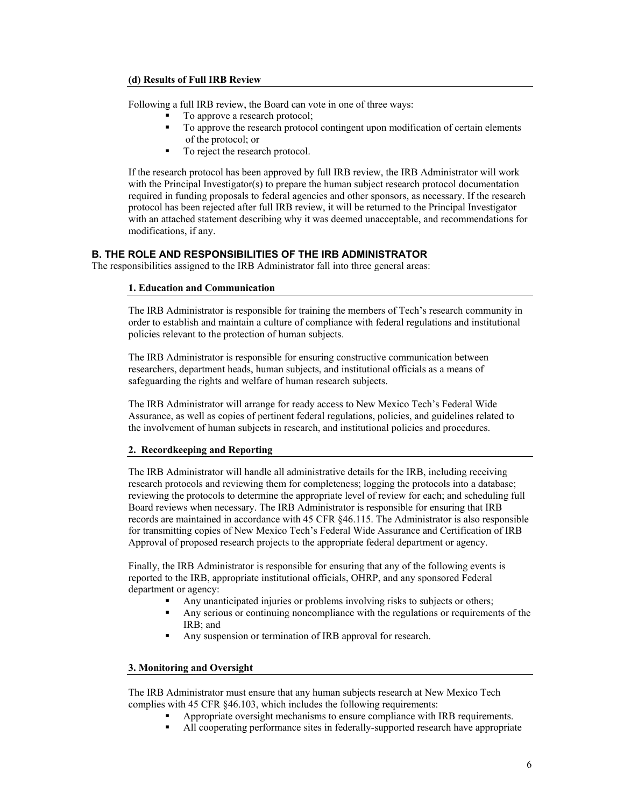## **(d) Results of Full IRB Review**

Following a full IRB review, the Board can vote in one of three ways:

- To approve a research protocol;
- To approve the research protocol contingent upon modification of certain elements of the protocol; or
- To reject the research protocol.

If the research protocol has been approved by full IRB review, the IRB Administrator will work with the Principal Investigator(s) to prepare the human subject research protocol documentation required in funding proposals to federal agencies and other sponsors, as necessary. If the research protocol has been rejected after full IRB review, it will be returned to the Principal Investigator with an attached statement describing why it was deemed unacceptable, and recommendations for modifications, if any.

# **B. THE ROLE AND RESPONSIBILITIES OF THE IRB ADMINISTRATOR**

The responsibilities assigned to the IRB Administrator fall into three general areas:

## **1. Education and Communication**

The IRB Administrator is responsible for training the members of Tech's research community in order to establish and maintain a culture of compliance with federal regulations and institutional policies relevant to the protection of human subjects.

The IRB Administrator is responsible for ensuring constructive communication between researchers, department heads, human subjects, and institutional officials as a means of safeguarding the rights and welfare of human research subjects.

The IRB Administrator will arrange for ready access to New Mexico Tech's Federal Wide Assurance, as well as copies of pertinent federal regulations, policies, and guidelines related to the involvement of human subjects in research, and institutional policies and procedures.

## **2. Recordkeeping and Reporting**

The IRB Administrator will handle all administrative details for the IRB, including receiving research protocols and reviewing them for completeness; logging the protocols into a database; reviewing the protocols to determine the appropriate level of review for each; and scheduling full Board reviews when necessary. The IRB Administrator is responsible for ensuring that IRB records are maintained in accordance with 45 CFR §46.115. The Administrator is also responsible for transmitting copies of New Mexico Tech's Federal Wide Assurance and Certification of IRB Approval of proposed research projects to the appropriate federal department or agency.

Finally, the IRB Administrator is responsible for ensuring that any of the following events is reported to the IRB, appropriate institutional officials, OHRP, and any sponsored Federal department or agency:

- Any unanticipated injuries or problems involving risks to subjects or others;
- Any serious or continuing noncompliance with the regulations or requirements of the IRB; and
- Any suspension or termination of IRB approval for research.

# **3. Monitoring and Oversight**

The IRB Administrator must ensure that any human subjects research at New Mexico Tech complies with 45 CFR §46.103, which includes the following requirements:

- Appropriate oversight mechanisms to ensure compliance with IRB requirements.
- All cooperating performance sites in federally-supported research have appropriate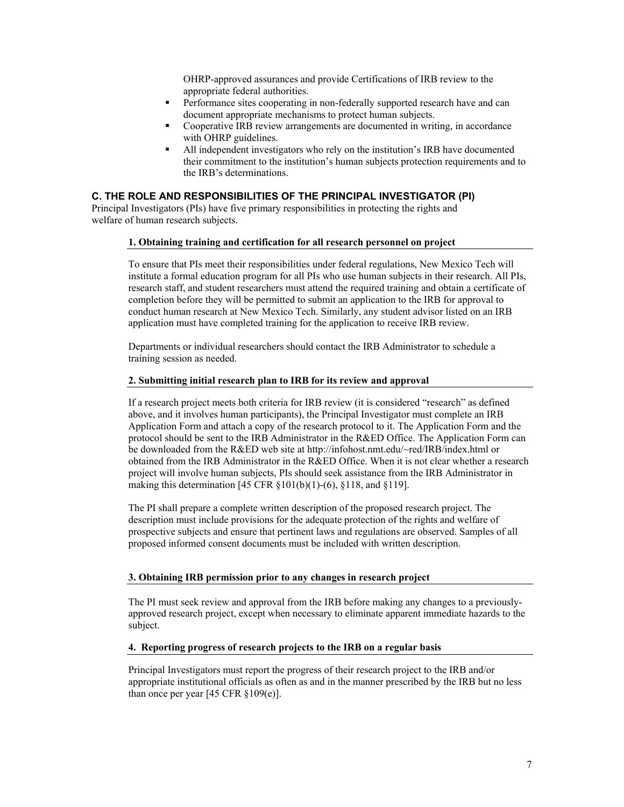OHRP-approved assurances and provide Certifications of IRB review to the appropriate federal authorities.

- Performance sites cooperating in non-federally supported research have and can document appropriate mechanisms to protect human subjects.
- Cooperative IRB review arrangements are documented in writing, in accordance with OHRP guidelines.
- All independent investigators who rely on the institution's IRB have documented their commitment to the institution's human subjects protection requirements and to the IRB's determinations.

# **C. THE ROLE AND RESPONSIBILITIES OF THE PRINCIPAL INVESTIGATOR (PI)**

Principal Investigators (PIs) have five primary responsibilities in protecting the rights and welfare of human research subjects.

# **1. Obtaining training and certification for all research personnel on project**

To ensure that PIs meet their responsibilities under federal regulations, New Mexico Tech will institute a formal education program for all PIs who use human subjects in their research. All PIs, research staff, and student researchers must attend the required training and obtain a certificate of completion before they will be permitted to submit an application to the IRB for approval to conduct human research at New Mexico Tech. Similarly, any student advisor listed on an IRB application must have completed training for the application to receive IRB review.

Departments or individual researchers should contact the IRB Administrator to schedule a training session as needed.

## **2. Submitting initial research plan to IRB for its review and approval**

If a research project meets both criteria for IRB review (it is considered "research" as defined above, and it involves human participants), the Principal Investigator must complete an IRB Application Form and attach a copy of the research protocol to it. The Application Form and the protocol should be sent to the IRB Administrator in the R&ED Office. The Application Form can be downloaded from the R&ED web site at http://infohost.nmt.edu/~red/IRB/index.html or obtained from the IRB Administrator in the R&ED Office. When it is not clear whether a research project will involve human subjects, PIs should seek assistance from the IRB Administrator in making this determination [45 CFR  $\S 101(b)(1)-(6)$ ,  $\S 118$ , and  $\S 119$ ].

The PI shall prepare a complete written description of the proposed research project. The description must include provisions for the adequate protection of the rights and welfare of prospective subjects and ensure that pertinent laws and regulations are observed. Samples of all proposed informed consent documents must be included with written description.

## **3. Obtaining IRB permission prior to any changes in research project**

The PI must seek review and approval from the IRB before making any changes to a previouslyapproved research project, except when necessary to eliminate apparent immediate hazards to the subject.

## **4. Reporting progress of research projects to the IRB on a regular basis**

Principal Investigators must report the progress of their research project to the IRB and/or appropriate institutional officials as often as and in the manner prescribed by the IRB but no less than once per year  $[45 \text{ CFR } \S 109(e)]$ .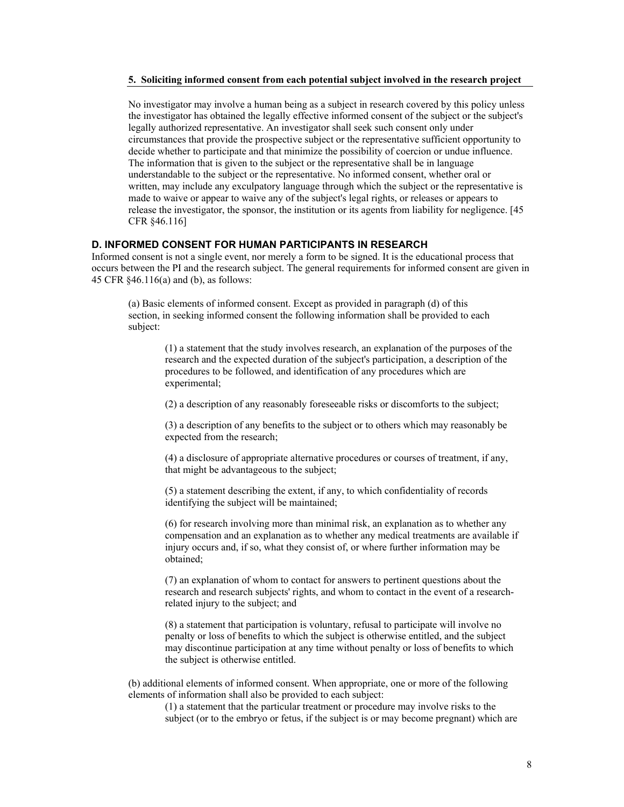## **5. Soliciting informed consent from each potential subject involved in the research project**

No investigator may involve a human being as a subject in research covered by this policy unless the investigator has obtained the legally effective informed consent of the subject or the subject's legally authorized representative. An investigator shall seek such consent only under circumstances that provide the prospective subject or the representative sufficient opportunity to decide whether to participate and that minimize the possibility of coercion or undue influence. The information that is given to the subject or the representative shall be in language understandable to the subject or the representative. No informed consent, whether oral or written, may include any exculpatory language through which the subject or the representative is made to waive or appear to waive any of the subject's legal rights, or releases or appears to release the investigator, the sponsor, the institution or its agents from liability for negligence. [45 CFR §46.116]

## **D. INFORMED CONSENT FOR HUMAN PARTICIPANTS IN RESEARCH**

Informed consent is not a single event, nor merely a form to be signed. It is the educational process that occurs between the PI and the research subject. The general requirements for informed consent are given in 45 CFR §46.116(a) and (b), as follows:

(a) Basic elements of informed consent. Except as provided in paragraph (d) of this section, in seeking informed consent the following information shall be provided to each subject:

> (1) a statement that the study involves research, an explanation of the purposes of the research and the expected duration of the subject's participation, a description of the procedures to be followed, and identification of any procedures which are experimental;

(2) a description of any reasonably foreseeable risks or discomforts to the subject;

(3) a description of any benefits to the subject or to others which may reasonably be expected from the research;

(4) a disclosure of appropriate alternative procedures or courses of treatment, if any, that might be advantageous to the subject;

(5) a statement describing the extent, if any, to which confidentiality of records identifying the subject will be maintained;

(6) for research involving more than minimal risk, an explanation as to whether any compensation and an explanation as to whether any medical treatments are available if injury occurs and, if so, what they consist of, or where further information may be obtained;

(7) an explanation of whom to contact for answers to pertinent questions about the research and research subjects' rights, and whom to contact in the event of a researchrelated injury to the subject; and

(8) a statement that participation is voluntary, refusal to participate will involve no penalty or loss of benefits to which the subject is otherwise entitled, and the subject may discontinue participation at any time without penalty or loss of benefits to which the subject is otherwise entitled.

(b) additional elements of informed consent. When appropriate, one or more of the following elements of information shall also be provided to each subject:

(1) a statement that the particular treatment or procedure may involve risks to the subject (or to the embryo or fetus, if the subject is or may become pregnant) which are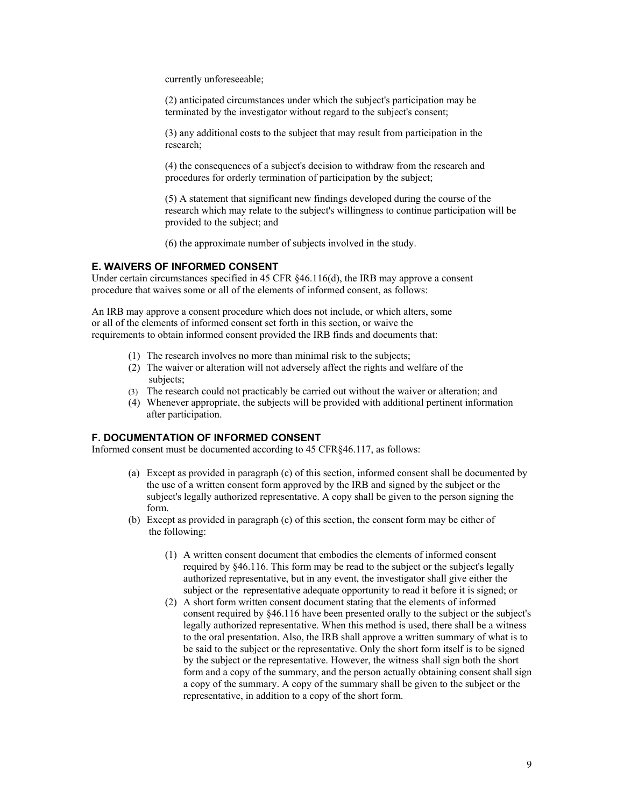currently unforeseeable;

 (2) anticipated circumstances under which the subject's participation may be terminated by the investigator without regard to the subject's consent;

(3) any additional costs to the subject that may result from participation in the research;

(4) the consequences of a subject's decision to withdraw from the research and procedures for orderly termination of participation by the subject;

(5) A statement that significant new findings developed during the course of the research which may relate to the subject's willingness to continue participation will be provided to the subject; and

(6) the approximate number of subjects involved in the study.

## **E. WAIVERS OF INFORMED CONSENT**

Under certain circumstances specified in 45 CFR §46.116(d), the IRB may approve a consent procedure that waives some or all of the elements of informed consent, as follows:

An IRB may approve a consent procedure which does not include, or which alters, some or all of the elements of informed consent set forth in this section, or waive the requirements to obtain informed consent provided the IRB finds and documents that:

- (1) The research involves no more than minimal risk to the subjects;
- (2) The waiver or alteration will not adversely affect the rights and welfare of the subjects;
- (3) The research could not practicably be carried out without the waiver or alteration; and
- (4) Whenever appropriate, the subjects will be provided with additional pertinent information after participation.

## **F. DOCUMENTATION OF INFORMED CONSENT**

Informed consent must be documented according to 45 CFR§46.117, as follows:

- (a) Except as provided in paragraph (c) of this section, informed consent shall be documented by the use of a written consent form approved by the IRB and signed by the subject or the subject's legally authorized representative. A copy shall be given to the person signing the form.
- (b) Except as provided in paragraph (c) of this section, the consent form may be either of the following:
	- (1) A written consent document that embodies the elements of informed consent required by §46.116. This form may be read to the subject or the subject's legally authorized representative, but in any event, the investigator shall give either the subject or the representative adequate opportunity to read it before it is signed; or
	- (2) A short form written consent document stating that the elements of informed consent required by §46.116 have been presented orally to the subject or the subject's legally authorized representative. When this method is used, there shall be a witness to the oral presentation. Also, the IRB shall approve a written summary of what is to be said to the subject or the representative. Only the short form itself is to be signed by the subject or the representative. However, the witness shall sign both the short form and a copy of the summary, and the person actually obtaining consent shall sign a copy of the summary. A copy of the summary shall be given to the subject or the representative, in addition to a copy of the short form.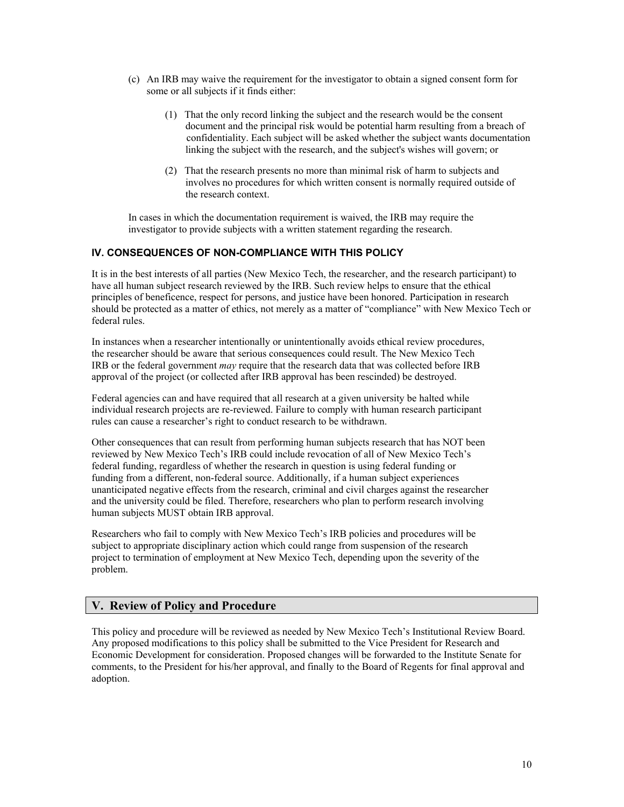- (c) An IRB may waive the requirement for the investigator to obtain a signed consent form for some or all subjects if it finds either:
	- (1) That the only record linking the subject and the research would be the consent document and the principal risk would be potential harm resulting from a breach of confidentiality. Each subject will be asked whether the subject wants documentation linking the subject with the research, and the subject's wishes will govern; or
	- (2) That the research presents no more than minimal risk of harm to subjects and involves no procedures for which written consent is normally required outside of the research context.

In cases in which the documentation requirement is waived, the IRB may require the investigator to provide subjects with a written statement regarding the research.

# **IV. CONSEQUENCES OF NON-COMPLIANCE WITH THIS POLICY**

It is in the best interests of all parties (New Mexico Tech, the researcher, and the research participant) to have all human subject research reviewed by the IRB. Such review helps to ensure that the ethical principles of beneficence, respect for persons, and justice have been honored. Participation in research should be protected as a matter of ethics, not merely as a matter of "compliance" with New Mexico Tech or federal rules.

In instances when a researcher intentionally or unintentionally avoids ethical review procedures, the researcher should be aware that serious consequences could result. The New Mexico Tech IRB or the federal government *may* require that the research data that was collected before IRB approval of the project (or collected after IRB approval has been rescinded) be destroyed.

Federal agencies can and have required that all research at a given university be halted while individual research projects are re-reviewed. Failure to comply with human research participant rules can cause a researcher's right to conduct research to be withdrawn.

Other consequences that can result from performing human subjects research that has NOT been reviewed by New Mexico Tech's IRB could include revocation of all of New Mexico Tech's federal funding, regardless of whether the research in question is using federal funding or funding from a different, non-federal source. Additionally, if a human subject experiences unanticipated negative effects from the research, criminal and civil charges against the researcher and the university could be filed. Therefore, researchers who plan to perform research involving human subjects MUST obtain IRB approval.

Researchers who fail to comply with New Mexico Tech's IRB policies and procedures will be subject to appropriate disciplinary action which could range from suspension of the research project to termination of employment at New Mexico Tech, depending upon the severity of the problem.

# **V. Review of Policy and Procedure**

This policy and procedure will be reviewed as needed by New Mexico Tech's Institutional Review Board. Any proposed modifications to this policy shall be submitted to the Vice President for Research and Economic Development for consideration. Proposed changes will be forwarded to the Institute Senate for comments, to the President for his/her approval, and finally to the Board of Regents for final approval and adoption.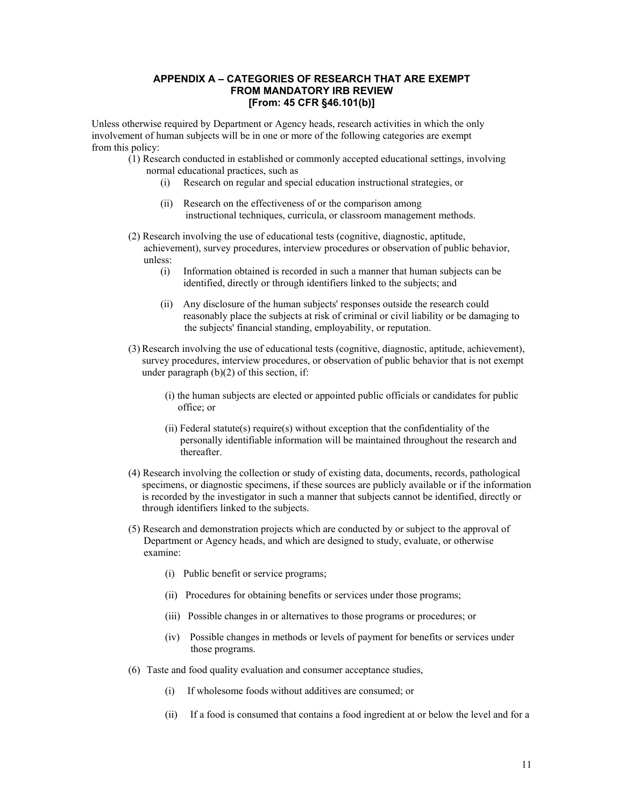# **APPENDIX A – CATEGORIES OF RESEARCH THAT ARE EXEMPT FROM MANDATORY IRB REVIEW [From: 45 CFR §46.101(b)]**

Unless otherwise required by Department or Agency heads, research activities in which the only involvement of human subjects will be in one or more of the following categories are exempt from this policy:

- (1) Research conducted in established or commonly accepted educational settings, involving normal educational practices, such as
	- (i) Research on regular and special education instructional strategies, or
	- (ii) Research on the effectiveness of or the comparison among instructional techniques, curricula, or classroom management methods.
- (2) Research involving the use of educational tests (cognitive, diagnostic, aptitude, achievement), survey procedures, interview procedures or observation of public behavior, unless:
	- (i) Information obtained is recorded in such a manner that human subjects can be identified, directly or through identifiers linked to the subjects; and
	- (ii) Any disclosure of the human subjects' responses outside the research could reasonably place the subjects at risk of criminal or civil liability or be damaging to the subjects' financial standing, employability, or reputation.
- (3) Research involving the use of educational tests (cognitive, diagnostic, aptitude, achievement), survey procedures, interview procedures, or observation of public behavior that is not exempt under paragraph  $(b)(2)$  of this section, if:
	- (i) the human subjects are elected or appointed public officials or candidates for public office; or
	- (ii) Federal statute(s) require(s) without exception that the confidentiality of the personally identifiable information will be maintained throughout the research and thereafter.
- (4) Research involving the collection or study of existing data, documents, records, pathological specimens, or diagnostic specimens, if these sources are publicly available or if the information is recorded by the investigator in such a manner that subjects cannot be identified, directly or through identifiers linked to the subjects.
- (5) Research and demonstration projects which are conducted by or subject to the approval of Department or Agency heads, and which are designed to study, evaluate, or otherwise examine:
	- (i) Public benefit or service programs;
	- (ii) Procedures for obtaining benefits or services under those programs;
	- (iii) Possible changes in or alternatives to those programs or procedures; or
	- (iv) Possible changes in methods or levels of payment for benefits or services under those programs.
- (6) Taste and food quality evaluation and consumer acceptance studies,
	- (i) If wholesome foods without additives are consumed; or
	- (ii) If a food is consumed that contains a food ingredient at or below the level and for a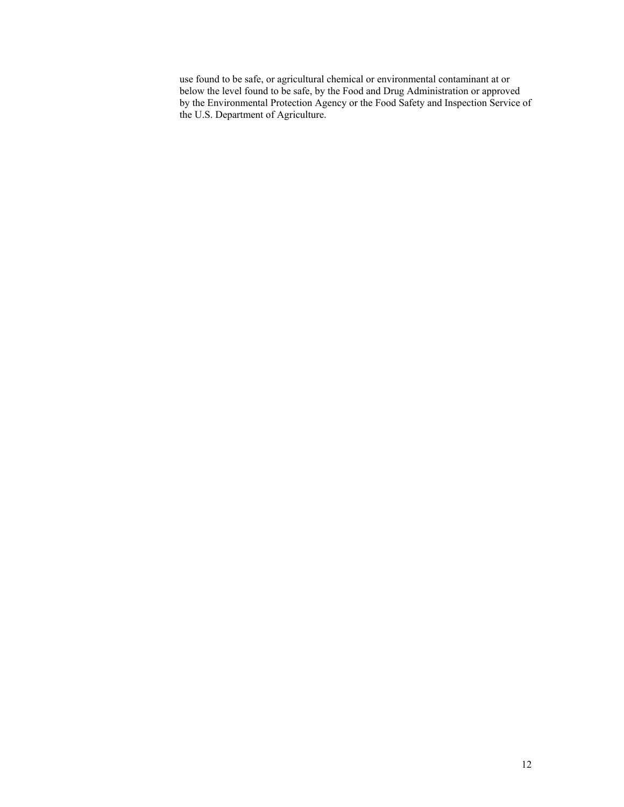use found to be safe, or agricultural chemical or environmental contaminant at or below the level found to be safe, by the Food and Drug Administration or approved by the Environmental Protection Agency or the Food Safety and Inspection Service of the U.S. Department of Agriculture.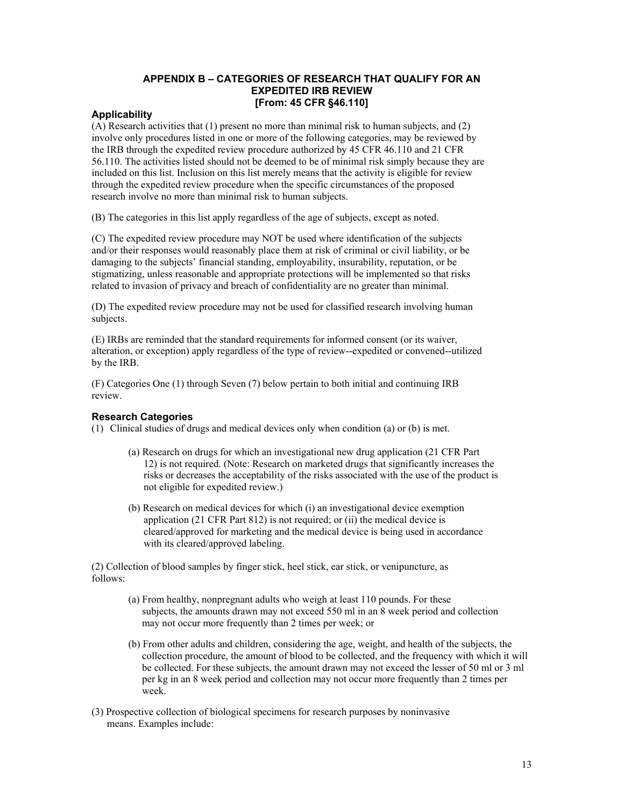# **APPENDIX B – CATEGORIES OF RESEARCH THAT QUALIFY FOR AN EXPEDITED IRB REVIEW [From: 45 CFR §46.110]**

# **Applicability**

(A) Research activities that (1) present no more than minimal risk to human subjects, and (2) involve only procedures listed in one or more of the following categories, may be reviewed by the IRB through the expedited review procedure authorized by 45 CFR 46.110 and 21 CFR 56.110. The activities listed should not be deemed to be of minimal risk simply because they are included on this list. Inclusion on this list merely means that the activity is eligible for review through the expedited review procedure when the specific circumstances of the proposed research involve no more than minimal risk to human subjects.

(B) The categories in this list apply regardless of the age of subjects, except as noted.

(C) The expedited review procedure may NOT be used where identification of the subjects and/or their responses would reasonably place them at risk of criminal or civil liability, or be damaging to the subjects' financial standing, employability, insurability, reputation, or be stigmatizing, unless reasonable and appropriate protections will be implemented so that risks related to invasion of privacy and breach of confidentiality are no greater than minimal.

(D) The expedited review procedure may not be used for classified research involving human subjects.

(E) IRBs are reminded that the standard requirements for informed consent (or its waiver, alteration, or exception) apply regardless of the type of review--expedited or convened--utilized by the IRB.

(F) Categories One (1) through Seven (7) below pertain to both initial and continuing IRB review.

# **Research Categories**

(1) Clinical studies of drugs and medical devices only when condition (a) or (b) is met.

- (a) Research on drugs for which an investigational new drug application (21 CFR Part 12) is not required. (Note: Research on marketed drugs that significantly increases the risks or decreases the acceptability of the risks associated with the use of the product is not eligible for expedited review.)
- (b) Research on medical devices for which (i) an investigational device exemption application (21 CFR Part 812) is not required; or (ii) the medical device is cleared/approved for marketing and the medical device is being used in accordance with its cleared/approved labeling.

(2) Collection of blood samples by finger stick, heel stick, ear stick, or venipuncture, as follows:

- (a) From healthy, nonpregnant adults who weigh at least 110 pounds. For these subjects, the amounts drawn may not exceed 550 ml in an 8 week period and collection may not occur more frequently than 2 times per week; or
- (b) From other adults and children, considering the age, weight, and health of the subjects, the collection procedure, the amount of blood to be collected, and the frequency with which it will be collected. For these subjects, the amount drawn may not exceed the lesser of 50 ml or 3 ml per kg in an 8 week period and collection may not occur more frequently than 2 times per week.
- (3) Prospective collection of biological specimens for research purposes by noninvasive means. Examples include: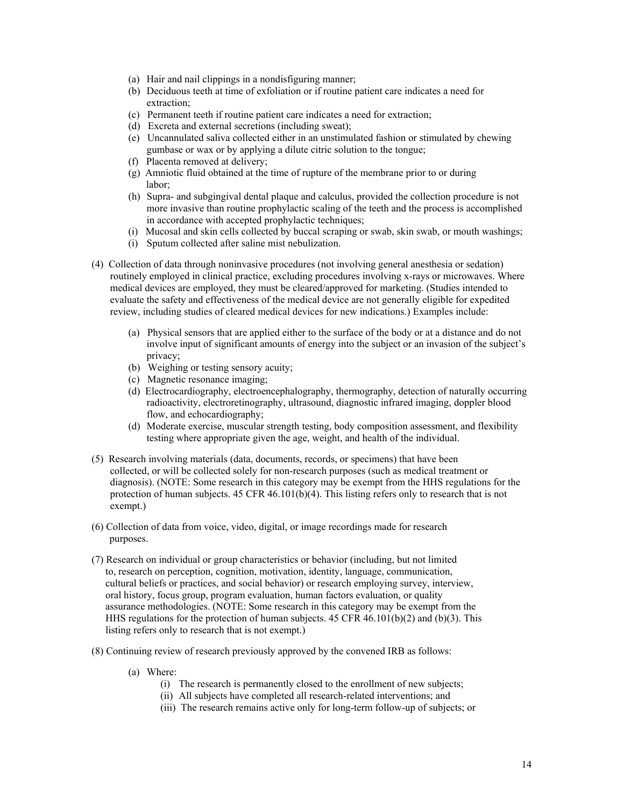- (a) Hair and nail clippings in a nondisfiguring manner;
- (b) Deciduous teeth at time of exfoliation or if routine patient care indicates a need for extraction;
- (c) Permanent teeth if routine patient care indicates a need for extraction;
- (d) Excreta and external secretions (including sweat);
- (e) Uncannulated saliva collected either in an unstimulated fashion or stimulated by chewing gumbase or wax or by applying a dilute citric solution to the tongue;
- (f) Placenta removed at delivery;
- (g) Amniotic fluid obtained at the time of rupture of the membrane prior to or during labor;
- (h) Supra- and subgingival dental plaque and calculus, provided the collection procedure is not more invasive than routine prophylactic scaling of the teeth and the process is accomplished in accordance with accepted prophylactic techniques;
- (i) Mucosal and skin cells collected by buccal scraping or swab, skin swab, or mouth washings;
- (i) Sputum collected after saline mist nebulization.
- (4) Collection of data through noninvasive procedures (not involving general anesthesia or sedation) routinely employed in clinical practice, excluding procedures involving x-rays or microwaves. Where medical devices are employed, they must be cleared/approved for marketing. (Studies intended to evaluate the safety and effectiveness of the medical device are not generally eligible for expedited review, including studies of cleared medical devices for new indications.) Examples include:
	- (a) Physical sensors that are applied either to the surface of the body or at a distance and do not involve input of significant amounts of energy into the subject or an invasion of the subject's privacy;
	- (b) Weighing or testing sensory acuity;
	- (c) Magnetic resonance imaging;
	- (d) Electrocardiography, electroencephalography, thermography, detection of naturally occurring radioactivity, electroretinography, ultrasound, diagnostic infrared imaging, doppler blood flow, and echocardiography;
	- (d) Moderate exercise, muscular strength testing, body composition assessment, and flexibility testing where appropriate given the age, weight, and health of the individual.
- (5) Research involving materials (data, documents, records, or specimens) that have been collected, or will be collected solely for non-research purposes (such as medical treatment or diagnosis). (NOTE: Some research in this category may be exempt from the HHS regulations for the protection of human subjects.  $45 \text{ CFR } 46.101(b)(4)$ . This listing refers only to research that is not exempt.)
- (6) Collection of data from voice, video, digital, or image recordings made for research purposes.
- (7) Research on individual or group characteristics or behavior (including, but not limited to, research on perception, cognition, motivation, identity, language, communication, cultural beliefs or practices, and social behavior) or research employing survey, interview, oral history, focus group, program evaluation, human factors evaluation, or quality assurance methodologies. (NOTE: Some research in this category may be exempt from the HHS regulations for the protection of human subjects. 45 CFR 46.101(b)(2) and (b)(3). This listing refers only to research that is not exempt.)
- (8) Continuing review of research previously approved by the convened IRB as follows:
	- (a) Where:
		- (i) The research is permanently closed to the enrollment of new subjects;
		- (ii) All subjects have completed all research-related interventions; and
		- (iii) The research remains active only for long-term follow-up of subjects; or